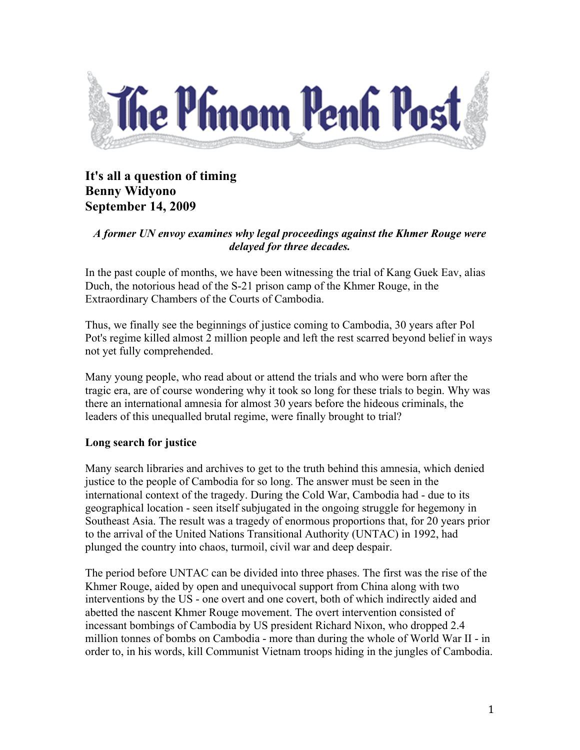

# **It's all a question of timing Benny Widyono September 14, 2009**

## *A former UN envoy examines why legal proceedings against the Khmer Rouge were delayed for three decades.*

In the past couple of months, we have been witnessing the trial of Kang Guek Eav, alias Duch, the notorious head of the S-21 prison camp of the Khmer Rouge, in the Extraordinary Chambers of the Courts of Cambodia.

Thus, we finally see the beginnings of justice coming to Cambodia, 30 years after Pol Pot's regime killed almost 2 million people and left the rest scarred beyond belief in ways not yet fully comprehended.

Many young people, who read about or attend the trials and who were born after the tragic era, are of course wondering why it took so long for these trials to begin. Why was there an international amnesia for almost 30 years before the hideous criminals, the leaders of this unequalled brutal regime, were finally brought to trial?

# **Long search for justice**

Many search libraries and archives to get to the truth behind this amnesia, which denied justice to the people of Cambodia for so long. The answer must be seen in the international context of the tragedy. During the Cold War, Cambodia had - due to its geographical location - seen itself subjugated in the ongoing struggle for hegemony in Southeast Asia. The result was a tragedy of enormous proportions that, for 20 years prior to the arrival of the United Nations Transitional Authority (UNTAC) in 1992, had plunged the country into chaos, turmoil, civil war and deep despair.

The period before UNTAC can be divided into three phases. The first was the rise of the Khmer Rouge, aided by open and unequivocal support from China along with two interventions by the US - one overt and one covert, both of which indirectly aided and abetted the nascent Khmer Rouge movement. The overt intervention consisted of incessant bombings of Cambodia by US president Richard Nixon, who dropped 2.4 million tonnes of bombs on Cambodia - more than during the whole of World War II - in order to, in his words, kill Communist Vietnam troops hiding in the jungles of Cambodia.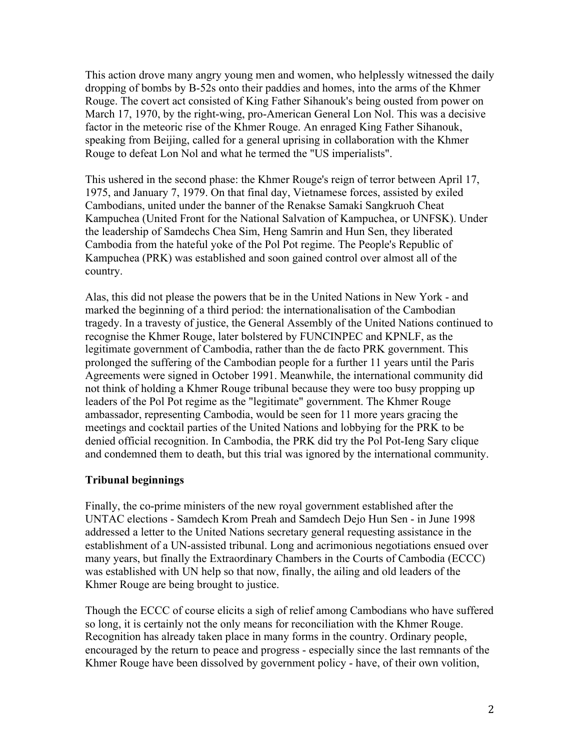This action drove many angry young men and women, who helplessly witnessed the daily dropping of bombs by B-52s onto their paddies and homes, into the arms of the Khmer Rouge. The covert act consisted of King Father Sihanouk's being ousted from power on March 17, 1970, by the right-wing, pro-American General Lon Nol. This was a decisive factor in the meteoric rise of the Khmer Rouge. An enraged King Father Sihanouk, speaking from Beijing, called for a general uprising in collaboration with the Khmer Rouge to defeat Lon Nol and what he termed the "US imperialists".

This ushered in the second phase: the Khmer Rouge's reign of terror between April 17, 1975, and January 7, 1979. On that final day, Vietnamese forces, assisted by exiled Cambodians, united under the banner of the Renakse Samaki Sangkruoh Cheat Kampuchea (United Front for the National Salvation of Kampuchea, or UNFSK). Under the leadership of Samdechs Chea Sim, Heng Samrin and Hun Sen, they liberated Cambodia from the hateful yoke of the Pol Pot regime. The People's Republic of Kampuchea (PRK) was established and soon gained control over almost all of the country.

Alas, this did not please the powers that be in the United Nations in New York - and marked the beginning of a third period: the internationalisation of the Cambodian tragedy. In a travesty of justice, the General Assembly of the United Nations continued to recognise the Khmer Rouge, later bolstered by FUNCINPEC and KPNLF, as the legitimate government of Cambodia, rather than the de facto PRK government. This prolonged the suffering of the Cambodian people for a further 11 years until the Paris Agreements were signed in October 1991. Meanwhile, the international community did not think of holding a Khmer Rouge tribunal because they were too busy propping up leaders of the Pol Pot regime as the "legitimate" government. The Khmer Rouge ambassador, representing Cambodia, would be seen for 11 more years gracing the meetings and cocktail parties of the United Nations and lobbying for the PRK to be denied official recognition. In Cambodia, the PRK did try the Pol Pot-Ieng Sary clique and condemned them to death, but this trial was ignored by the international community.

#### **Tribunal beginnings**

Finally, the co-prime ministers of the new royal government established after the UNTAC elections - Samdech Krom Preah and Samdech Dejo Hun Sen - in June 1998 addressed a letter to the United Nations secretary general requesting assistance in the establishment of a UN-assisted tribunal. Long and acrimonious negotiations ensued over many years, but finally the Extraordinary Chambers in the Courts of Cambodia (ECCC) was established with UN help so that now, finally, the ailing and old leaders of the Khmer Rouge are being brought to justice.

Though the ECCC of course elicits a sigh of relief among Cambodians who have suffered so long, it is certainly not the only means for reconciliation with the Khmer Rouge. Recognition has already taken place in many forms in the country. Ordinary people, encouraged by the return to peace and progress - especially since the last remnants of the Khmer Rouge have been dissolved by government policy - have, of their own volition,